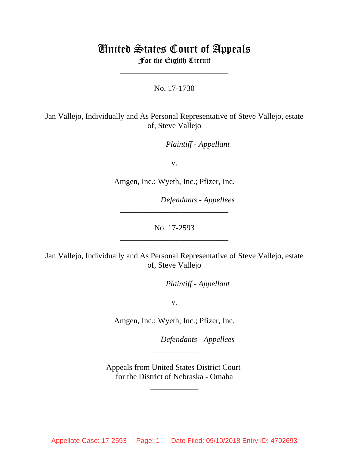# United States Court of Appeals For the Eighth Circuit

No. 17-1730 \_\_\_\_\_\_\_\_\_\_\_\_\_\_\_\_\_\_\_\_\_\_\_\_\_\_\_

\_\_\_\_\_\_\_\_\_\_\_\_\_\_\_\_\_\_\_\_\_\_\_\_\_\_\_

Jan Vallejo, Individually and As Personal Representative of Steve Vallejo, estate of, Steve Vallejo

lllllllllllllllllllll*Plaintiff - Appellant*

v.

Amgen, Inc.; Wyeth, Inc.; Pfizer, Inc.

lllllllllllllllllllll*Defendants - Appellees*

No. 17-2593 \_\_\_\_\_\_\_\_\_\_\_\_\_\_\_\_\_\_\_\_\_\_\_\_\_\_\_

\_\_\_\_\_\_\_\_\_\_\_\_\_\_\_\_\_\_\_\_\_\_\_\_\_\_\_

Jan Vallejo, Individually and As Personal Representative of Steve Vallejo, estate of, Steve Vallejo

lllllllllllllllllllll*Plaintiff - Appellant*

v.

Amgen, Inc.; Wyeth, Inc.; Pfizer, Inc.

lllllllllllllllllllll*Defendants - Appellees*

Appeals from United States District Court for the District of Nebraska - Omaha

\_\_\_\_\_\_\_\_\_\_\_\_

\_\_\_\_\_\_\_\_\_\_\_\_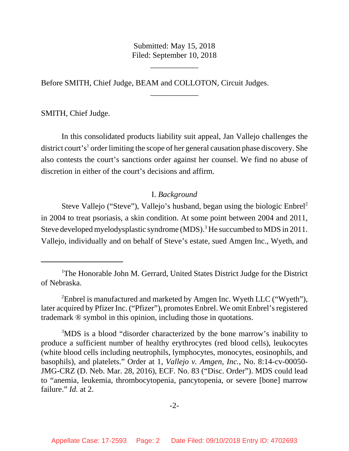Submitted: May 15, 2018 Filed: September 10, 2018

\_\_\_\_\_\_\_\_\_\_\_\_

\_\_\_\_\_\_\_\_\_\_\_\_

Before SMITH, Chief Judge, BEAM and COLLOTON, Circuit Judges.

SMITH, Chief Judge.

In this consolidated products liability suit appeal, Jan Vallejo challenges the district court's<sup>1</sup> order limiting the scope of her general causation phase discovery. She also contests the court's sanctions order against her counsel. We find no abuse of discretion in either of the court's decisions and affirm.

# I. *Background*

Steve Vallejo ("Steve"), Vallejo's husband, began using the biologic Enbrel<sup>2</sup> in 2004 to treat psoriasis, a skin condition. At some point between 2004 and 2011, Steve developed myelodysplastic syndrome (MDS).<sup>3</sup> He succumbed to MDS in 2011. Vallejo, individually and on behalf of Steve's estate, sued Amgen Inc., Wyeth, and

<sup>&</sup>lt;sup>1</sup>The Honorable John M. Gerrard, United States District Judge for the District of Nebraska.

<sup>&</sup>lt;sup>2</sup> Enbrel is manufactured and marketed by Amgen Inc. Wyeth LLC ("Wyeth"), later acquired by Pfizer Inc. ("Pfizer"), promotes Enbrel. We omit Enbrel's registered trademark ® symbol in this opinion, including those in quotations.

<sup>&</sup>lt;sup>3</sup>MDS is a blood "disorder characterized by the bone marrow's inability to produce a sufficient number of healthy erythrocytes (red blood cells), leukocytes (white blood cells including neutrophils, lymphocytes, monocytes, eosinophils, and basophils), and platelets." Order at 1, *Vallejo v. Amgen, Inc.*, No. 8:14-cv-00050- JMG-CRZ (D. Neb. Mar. 28, 2016), ECF. No. 83 ("Disc. Order"). MDS could lead to "anemia, leukemia, thrombocytopenia, pancytopenia, or severe [bone] marrow failure." *Id.* at 2.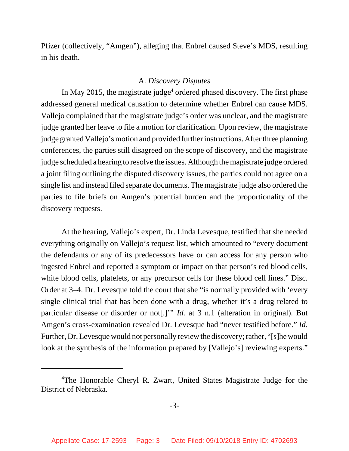Pfizer (collectively, "Amgen"), alleging that Enbrel caused Steve's MDS, resulting in his death.

# A. *Discovery Disputes*

In May 2015, the magistrate judge<sup>4</sup> ordered phased discovery. The first phase addressed general medical causation to determine whether Enbrel can cause MDS. Vallejo complained that the magistrate judge's order was unclear, and the magistrate judge granted her leave to file a motion for clarification. Upon review, the magistrate judge granted Vallejo's motion and provided further instructions. After three planning conferences, the parties still disagreed on the scope of discovery, and the magistrate judge scheduled a hearing to resolve the issues. Although the magistrate judge ordered a joint filing outlining the disputed discovery issues, the parties could not agree on a single list and instead filed separate documents. The magistrate judge also ordered the parties to file briefs on Amgen's potential burden and the proportionality of the discovery requests.

At the hearing, Vallejo's expert, Dr. Linda Levesque, testified that she needed everything originally on Vallejo's request list, which amounted to "every document the defendants or any of its predecessors have or can access for any person who ingested Enbrel and reported a symptom or impact on that person's red blood cells, white blood cells, platelets, or any precursor cells for these blood cell lines." Disc. Order at 3–4. Dr. Levesque told the court that she "is normally provided with 'every single clinical trial that has been done with a drug, whether it's a drug related to particular disease or disorder or not[.]'" *Id.* at 3 n.1 (alteration in original). But Amgen's cross-examination revealed Dr. Levesque had "never testified before." *Id.* Further, Dr. Levesque would not personally review the discovery; rather, "[s]he would look at the synthesis of the information prepared by [Vallejo's] reviewing experts."

<sup>&</sup>lt;sup>4</sup>The Honorable Cheryl R. Zwart, United States Magistrate Judge for the District of Nebraska.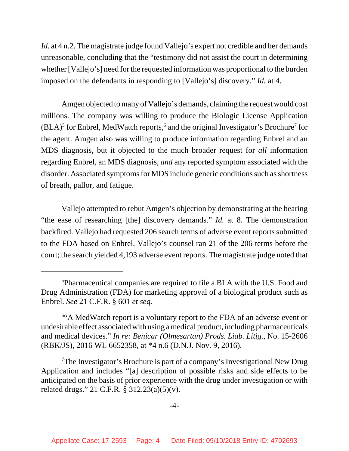*Id.* at 4 n.2. The magistrate judge found Vallejo's expert not credible and her demands unreasonable, concluding that the "testimony did not assist the court in determining whether [Vallejo's] need for the requested information was proportional to the burden imposed on the defendants in responding to [Vallejo's] discovery." *Id.* at 4.

Amgen objected to many of Vallejo's demands, claiming the request would cost millions. The company was willing to produce the Biologic License Application  $(BLA)^5$  for Enbrel, MedWatch reports,<sup>6</sup> and the original Investigator's Brochure<sup>7</sup> for the agent. Amgen also was willing to produce information regarding Enbrel and an MDS diagnosis, but it objected to the much broader request for *all* information regarding Enbrel, an MDS diagnosis, *and* any reported symptom associated with the disorder. Associated symptoms for MDS include generic conditions such as shortness of breath, pallor, and fatigue.

Vallejo attempted to rebut Amgen's objection by demonstrating at the hearing "the ease of researching [the] discovery demands." *Id.* at 8. The demonstration backfired. Vallejo had requested 206 search terms of adverse event reports submitted to the FDA based on Enbrel. Vallejo's counsel ran 21 of the 206 terms before the court; the search yielded 4,193 adverse event reports. The magistrate judge noted that

<sup>&</sup>lt;sup>5</sup>Pharmaceutical companies are required to file a BLA with the U.S. Food and Drug Administration (FDA) for marketing approval of a biological product such as Enbrel. *See* 21 C.F.R. § 601 *et seq.*

<sup>&</sup>lt;sup>6"</sup>A MedWatch report is a voluntary report to the FDA of an adverse event or undesirable effect associated with using a medical product, including pharmaceuticals and medical devices." *In re: Benicar (Olmesartan) Prods. Liab. Litig.*, No. 15-2606 (RBK/JS), 2016 WL 6652358, at \*4 n.6 (D.N.J. Nov. 9, 2016).

<sup>&</sup>lt;sup>7</sup>The Investigator's Brochure is part of a company's Investigational New Drug Application and includes "[a] description of possible risks and side effects to be anticipated on the basis of prior experience with the drug under investigation or with related drugs." 21 C.F.R. § 312.23(a)(5)(v).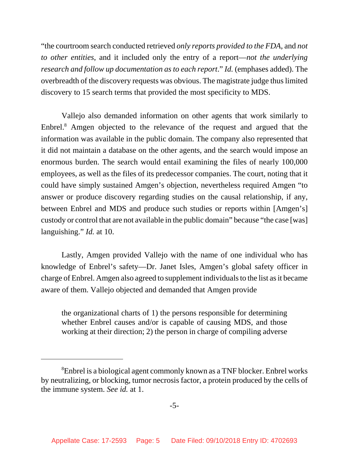"the courtroom search conducted retrieved *only reports provided to the FDA*, and *not to other entities*, and it included only the entry of a report—*not the underlying research and follow up documentation as to each report*." *Id.* (emphases added). The overbreadth of the discovery requests was obvious. The magistrate judge thus limited discovery to 15 search terms that provided the most specificity to MDS.

Vallejo also demanded information on other agents that work similarly to Enbrel.<sup>8</sup> Amgen objected to the relevance of the request and argued that the information was available in the public domain. The company also represented that it did not maintain a database on the other agents, and the search would impose an enormous burden. The search would entail examining the files of nearly 100,000 employees, as well as the files of its predecessor companies. The court, noting that it could have simply sustained Amgen's objection, nevertheless required Amgen "to answer or produce discovery regarding studies on the causal relationship, if any, between Enbrel and MDS and produce such studies or reports within [Amgen's] custody or control that are not available in the public domain" because "the case [was] languishing." *Id.* at 10.

Lastly, Amgen provided Vallejo with the name of one individual who has knowledge of Enbrel's safety—Dr. Janet Isles, Amgen's global safety officer in charge of Enbrel. Amgen also agreed to supplement individuals to the list as it became aware of them. Vallejo objected and demanded that Amgen provide

the organizational charts of 1) the persons responsible for determining whether Enbrel causes and/or is capable of causing MDS, and those working at their direction; 2) the person in charge of compiling adverse

<sup>&</sup>lt;sup>8</sup>Enbrel is a biological agent commonly known as a TNF blocker. Enbrel works by neutralizing, or blocking, tumor necrosis factor, a protein produced by the cells of the immune system. *See id.* at 1.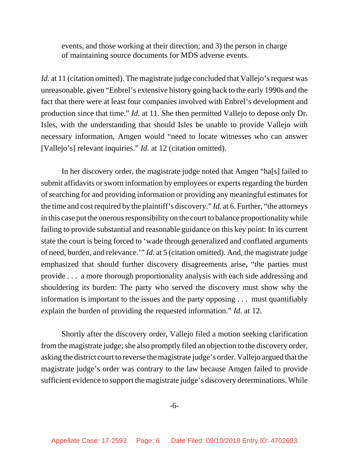events, and those working at their direction; and 3) the person in charge of maintaining source documents for MDS adverse events.

*Id.* at 11 (citation omitted). The magistrate judge concluded that Vallejo's request was unreasonable, given "Enbrel's extensive history going back to the early 1990s and the fact that there were at least four companies involved with Enbrel's development and production since that time." *Id.* at 11. She then permitted Vallejo to depose only Dr. Isles, with the understanding that should Isles be unable to provide Vallejo with necessary information, Amgen would "need to locate witnesses who can answer [Vallejo's] relevant inquiries." *Id.* at 12 (citation omitted).

In her discovery order, the magistrate judge noted that Amgen "ha[s] failed to submit affidavits or sworn information by employees or experts regarding the burden of searching for and providing information or providing any meaningful estimates for the time and cost required by the plaintiff's discovery." *Id.* at 6. Further, "the attorneys in this case put the onerous responsibility on the court to balance proportionality while failing to provide substantial and reasonable guidance on this key point: In its current state the court is being forced to 'wade through generalized and conflated arguments of need, burden, and relevance.'" *Id.* at 5 (citation omitted). And, the magistrate judge emphasized that should further discovery disagreements arise, "the parties must provide . . . a more thorough proportionality analysis with each side addressing and shouldering its burden: The party who served the discovery must show why the information is important to the issues and the party opposing . . . must quantifiably explain the burden of providing the requested information." *Id.* at 12.

Shortly after the discovery order, Vallejo filed a motion seeking clarification from the magistrate judge; she also promptly filed an objection to the discovery order, asking the district court to reverse the magistrate judge's order. Vallejo argued that the magistrate judge's order was contrary to the law because Amgen failed to provide sufficient evidence to support the magistrate judge's discovery determinations. While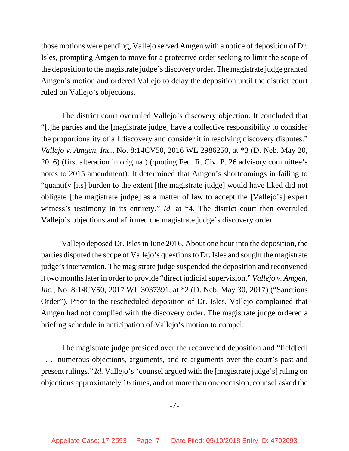those motions were pending, Vallejo served Amgen with a notice of deposition of Dr. Isles, prompting Amgen to move for a protective order seeking to limit the scope of the deposition to the magistrate judge's discovery order. The magistrate judge granted Amgen's motion and ordered Vallejo to delay the deposition until the district court ruled on Vallejo's objections.

The district court overruled Vallejo's discovery objection. It concluded that "[t]he parties and the [magistrate judge] have a collective responsibility to consider the proportionality of all discovery and consider it in resolving discovery disputes." *Vallejo v. Amgen, Inc.*, No. 8:14CV50, 2016 WL 2986250, at \*3 (D. Neb. May 20, 2016) (first alteration in original) (quoting Fed. R. Civ. P. 26 advisory committee's notes to 2015 amendment). It determined that Amgen's shortcomings in failing to "quantify [its] burden to the extent [the magistrate judge] would have liked did not obligate [the magistrate judge] as a matter of law to accept the [Vallejo's] expert witness's testimony in its entirety." *Id.* at \*4. The district court then overruled Vallejo's objections and affirmed the magistrate judge's discovery order.

Vallejo deposed Dr. Isles in June 2016. About one hour into the deposition, the parties disputed the scope of Vallejo's questions to Dr. Isles and sought the magistrate judge's intervention. The magistrate judge suspended the deposition and reconvened it two months later in order to provide "direct judicial supervision." *Vallejo v. Amgen, Inc.*, No. 8:14CV50, 2017 WL 3037391, at \*2 (D. Neb. May 30, 2017) ("Sanctions Order"). Prior to the rescheduled deposition of Dr. Isles, Vallejo complained that Amgen had not complied with the discovery order. The magistrate judge ordered a briefing schedule in anticipation of Vallejo's motion to compel.

The magistrate judge presided over the reconvened deposition and "field[ed] numerous objections, arguments, and re-arguments over the court's past and present rulings." *Id.* Vallejo's "counsel argued with the [magistrate judge's] ruling on objections approximately 16 times, and on more than one occasion, counsel asked the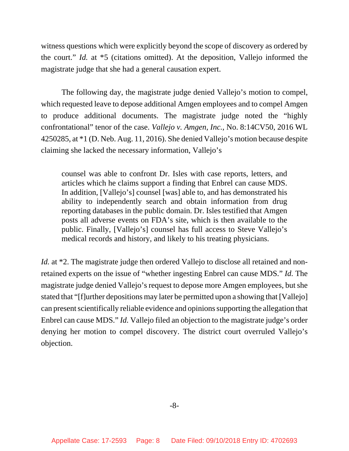witness questions which were explicitly beyond the scope of discovery as ordered by the court." *Id.* at \*5 (citations omitted). At the deposition, Vallejo informed the magistrate judge that she had a general causation expert.

The following day, the magistrate judge denied Vallejo's motion to compel, which requested leave to depose additional Amgen employees and to compel Amgen to produce additional documents. The magistrate judge noted the "highly confrontational" tenor of the case. *Vallejo v. Amgen, Inc.*, No. 8:14CV50, 2016 WL 4250285, at \*1 (D. Neb. Aug. 11, 2016). She denied Vallejo's motion because despite claiming she lacked the necessary information, Vallejo's

counsel was able to confront Dr. Isles with case reports, letters, and articles which he claims support a finding that Enbrel can cause MDS. In addition, [Vallejo's] counsel [was] able to, and has demonstrated his ability to independently search and obtain information from drug reporting databases in the public domain. Dr. Isles testified that Amgen posts all adverse events on FDA's site, which is then available to the public. Finally, [Vallejo's] counsel has full access to Steve Vallejo's medical records and history, and likely to his treating physicians.

*Id.* at \*2. The magistrate judge then ordered Vallejo to disclose all retained and nonretained experts on the issue of "whether ingesting Enbrel can cause MDS." *Id.* The magistrate judge denied Vallejo's request to depose more Amgen employees, but she stated that "[f]urther depositions may later be permitted upon a showing that [Vallejo] can present scientifically reliable evidence and opinions supporting the allegation that Enbrel can cause MDS." *Id.* Vallejo filed an objection to the magistrate judge's order denying her motion to compel discovery. The district court overruled Vallejo's objection.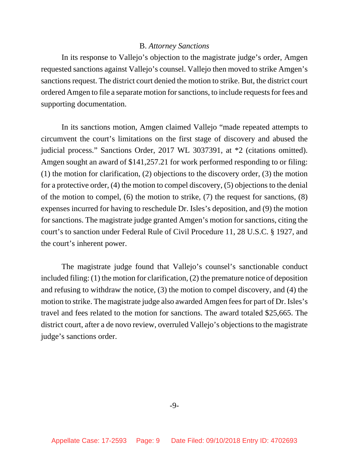# B. *Attorney Sanctions*

In its response to Vallejo's objection to the magistrate judge's order, Amgen requested sanctions against Vallejo's counsel. Vallejo then moved to strike Amgen's sanctions request. The district court denied the motion to strike. But, the district court ordered Amgen to file a separate motion for sanctions, to include requests for fees and supporting documentation.

In its sanctions motion, Amgen claimed Vallejo "made repeated attempts to circumvent the court's limitations on the first stage of discovery and abused the judicial process." Sanctions Order, 2017 WL 3037391, at \*2 (citations omitted). Amgen sought an award of \$141,257.21 for work performed responding to or filing: (1) the motion for clarification, (2) objections to the discovery order, (3) the motion for a protective order, (4) the motion to compel discovery, (5) objections to the denial of the motion to compel, (6) the motion to strike, (7) the request for sanctions, (8) expenses incurred for having to reschedule Dr. Isles's deposition, and (9) the motion for sanctions. The magistrate judge granted Amgen's motion for sanctions, citing the court's to sanction under Federal Rule of Civil Procedure 11, 28 U.S.C. § 1927, and the court's inherent power.

The magistrate judge found that Vallejo's counsel's sanctionable conduct included filing: (1) the motion for clarification, (2) the premature notice of deposition and refusing to withdraw the notice, (3) the motion to compel discovery, and (4) the motion to strike. The magistrate judge also awarded Amgen fees for part of Dr. Isles's travel and fees related to the motion for sanctions. The award totaled \$25,665. The district court, after a de novo review, overruled Vallejo's objections to the magistrate judge's sanctions order.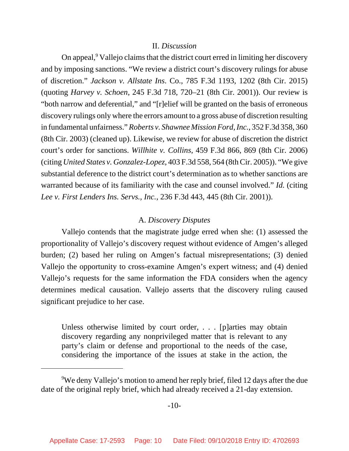### II. *Discussion*

On appeal,<sup>9</sup> Vallejo claims that the district court erred in limiting her discovery and by imposing sanctions. "We review a district court's discovery rulings for abuse of discretion." *Jackson v. Allstate Ins*. Co., 785 F.3d 1193, 1202 (8th Cir. 2015) (quoting *Harvey v. Schoen*, 245 F.3d 718, 720–21 (8th Cir. 2001)). Our review is "both narrow and deferential," and "[r]elief will be granted on the basis of erroneous discovery rulings only where the errors amount to a gross abuse of discretion resulting in fundamental unfairness." *Roberts v. Shawnee Mission Ford, Inc.*, 352 F.3d 358, 360 (8th Cir. 2003) (cleaned up). Likewise, we review for abuse of discretion the district court's order for sanctions. *Willhite v. Collins*, 459 F.3d 866, 869 (8th Cir. 2006) (citing *United States v. Gonzalez-Lopez*, 403 F.3d 558, 564 (8th Cir. 2005)). "We give substantial deference to the district court's determination as to whether sanctions are warranted because of its familiarity with the case and counsel involved." *Id.* (citing *Lee v. First Lenders Ins. Servs., Inc.*, 236 F.3d 443, 445 (8th Cir. 2001)).

## A. *Discovery Disputes*

Vallejo contends that the magistrate judge erred when she: (1) assessed the proportionality of Vallejo's discovery request without evidence of Amgen's alleged burden; (2) based her ruling on Amgen's factual misrepresentations; (3) denied Vallejo the opportunity to cross-examine Amgen's expert witness; and (4) denied Vallejo's requests for the same information the FDA considers when the agency determines medical causation. Vallejo asserts that the discovery ruling caused significant prejudice to her case.

Unless otherwise limited by court order, . . . [p]arties may obtain discovery regarding any nonprivileged matter that is relevant to any party's claim or defense and proportional to the needs of the case, considering the importance of the issues at stake in the action, the

 $9$ We deny Vallejo's motion to amend her reply brief, filed 12 days after the due date of the original reply brief, which had already received a 21-day extension.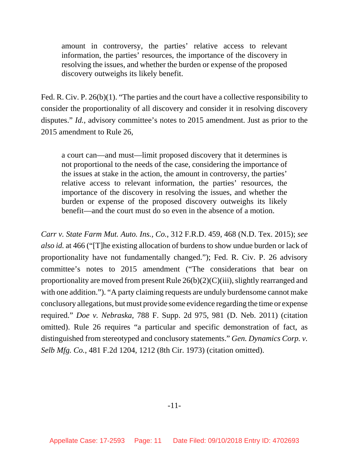amount in controversy, the parties' relative access to relevant information, the parties' resources, the importance of the discovery in resolving the issues, and whether the burden or expense of the proposed discovery outweighs its likely benefit.

Fed. R. Civ. P. 26(b)(1). "The parties and the court have a collective responsibility to consider the proportionality of all discovery and consider it in resolving discovery disputes." *Id.*, advisory committee's notes to 2015 amendment. Just as prior to the 2015 amendment to Rule 26,

a court can—and must—limit proposed discovery that it determines is not proportional to the needs of the case, considering the importance of the issues at stake in the action, the amount in controversy, the parties' relative access to relevant information, the parties' resources, the importance of the discovery in resolving the issues, and whether the burden or expense of the proposed discovery outweighs its likely benefit—and the court must do so even in the absence of a motion.

*Carr v. State Farm Mut. Auto. Ins., Co.*, 312 F.R.D. 459, 468 (N.D. Tex. 2015); *see also id.* at 466 ("[T]he existing allocation of burdens to show undue burden or lack of proportionality have not fundamentally changed."); Fed. R. Civ. P. 26 advisory committee's notes to 2015 amendment ("The considerations that bear on proportionality are moved from present Rule 26(b)(2)(C)(iii), slightly rearranged and with one addition."). "A party claiming requests are unduly burdensome cannot make conclusory allegations, but must provide some evidence regarding the time or expense required." *Doe v. Nebraska*, 788 F. Supp. 2d 975, 981 (D. Neb. 2011) (citation omitted). Rule 26 requires "a particular and specific demonstration of fact, as distinguished from stereotyped and conclusory statements." *Gen. Dynamics Corp. v. Selb Mfg. Co.*, 481 F.2d 1204, 1212 (8th Cir. 1973) (citation omitted).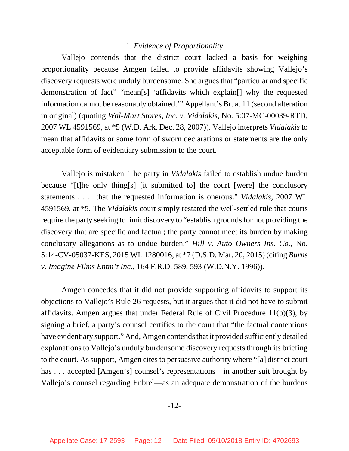### 1. *Evidence of Proportionality*

Vallejo contends that the district court lacked a basis for weighing proportionality because Amgen failed to provide affidavits showing Vallejo's discovery requests were unduly burdensome. She argues that "particular and specific demonstration of fact" "mean[s] 'affidavits which explain[] why the requested information cannot be reasonably obtained.'" Appellant's Br. at 11 (second alteration in original) (quoting *Wal-Mart Stores, Inc. v. Vidalakis*, No. 5:07-MC-00039-RTD, 2007 WL 4591569, at \*5 (W.D. Ark. Dec. 28, 2007)). Vallejo interprets *Vidalakis* to mean that affidavits or some form of sworn declarations or statements are the only acceptable form of evidentiary submission to the court.

Vallejo is mistaken. The party in *Vidalakis* failed to establish undue burden because "[t]he only thing[s] [it submitted to] the court [were] the conclusory statements . . . that the requested information is onerous." *Vidalakis*, 2007 WL 4591569, at \*5. The *Vidalakis* court simply restated the well-settled rule that courts require the party seeking to limit discovery to "establish grounds for not providing the discovery that are specific and factual; the party cannot meet its burden by making conclusory allegations as to undue burden." *Hill v. Auto Owners Ins. Co.*, No. 5:14-CV-05037-KES, 2015 WL 1280016, at \*7 (D.S.D. Mar. 20, 2015) (citing *Burns v. Imagine Films Entm't Inc.*, 164 F.R.D. 589, 593 (W.D.N.Y. 1996)).

Amgen concedes that it did not provide supporting affidavits to support its objections to Vallejo's Rule 26 requests, but it argues that it did not have to submit affidavits. Amgen argues that under Federal Rule of Civil Procedure 11(b)(3), by signing a brief, a party's counsel certifies to the court that "the factual contentions have evidentiary support." And, Amgen contends that it provided sufficiently detailed explanations to Vallejo's unduly burdensome discovery requests through its briefing to the court. As support, Amgen cites to persuasive authority where "[a] district court has ... accepted [Amgen's] counsel's representations—in another suit brought by Vallejo's counsel regarding Enbrel—as an adequate demonstration of the burdens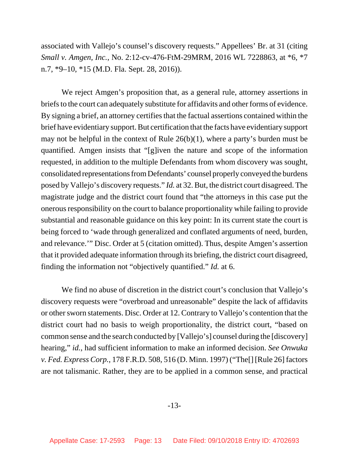associated with Vallejo's counsel's discovery requests." Appellees' Br. at 31 (citing *Small v. Amgen, Inc.*, No. 2:12-cv-476-FtM-29MRM, 2016 WL 7228863, at \*6, \*7 n.7, \*9–10, \*15 (M.D. Fla. Sept. 28, 2016)).

We reject Amgen's proposition that, as a general rule, attorney assertions in briefs to the court can adequately substitute for affidavits and other forms of evidence. By signing a brief, an attorney certifies that the factual assertions contained within the brief have evidentiary support. But certification that the facts have evidentiary support may not be helpful in the context of Rule 26(b)(1), where a party's burden must be quantified. Amgen insists that "[g]iven the nature and scope of the information requested, in addition to the multiple Defendants from whom discovery was sought, consolidated representations from Defendants' counsel properly conveyed the burdens posed by Vallejo's discovery requests." *Id.* at 32. But, the district court disagreed. The magistrate judge and the district court found that "the attorneys in this case put the onerous responsibility on the court to balance proportionality while failing to provide substantial and reasonable guidance on this key point: In its current state the court is being forced to 'wade through generalized and conflated arguments of need, burden, and relevance.'" Disc. Order at 5 (citation omitted). Thus, despite Amgen's assertion that it provided adequate information through its briefing, the district court disagreed, finding the information not "objectively quantified." *Id.* at 6.

We find no abuse of discretion in the district court's conclusion that Vallejo's discovery requests were "overbroad and unreasonable" despite the lack of affidavits or other sworn statements. Disc. Order at 12. Contrary to Vallejo's contention that the district court had no basis to weigh proportionality, the district court, "based on common sense and the search conducted by [Vallejo's] counsel during the [discovery] hearing," *id.*, had sufficient information to make an informed decision. *See Onwuka v. Fed. Express Corp.*, 178 F.R.D. 508, 516 (D. Minn. 1997) ("The[] [Rule 26] factors are not talismanic. Rather, they are to be applied in a common sense, and practical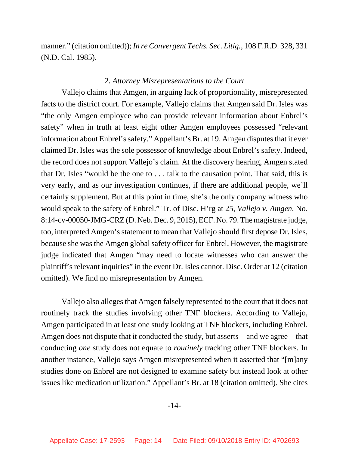manner." (citation omitted)); *In re Convergent Techs. Sec. Litig.*, 108 F.R.D. 328, 331 (N.D. Cal. 1985).

### 2. *Attorney Misrepresentations to the Court*

Vallejo claims that Amgen, in arguing lack of proportionality, misrepresented facts to the district court. For example, Vallejo claims that Amgen said Dr. Isles was "the only Amgen employee who can provide relevant information about Enbrel's safety" when in truth at least eight other Amgen employees possessed "relevant information about Enbrel's safety." Appellant's Br. at 19. Amgen disputes that it ever claimed Dr. Isles was the sole possessor of knowledge about Enbrel's safety. Indeed, the record does not support Vallejo's claim. At the discovery hearing, Amgen stated that Dr. Isles "would be the one to . . . talk to the causation point. That said, this is very early, and as our investigation continues, if there are additional people, we'll certainly supplement. But at this point in time, she's the only company witness who would speak to the safety of Enbrel." Tr. of Disc. H'rg at 25, *Vallejo v. Amgen*, No. 8:14-cv-00050-JMG-CRZ (D. Neb. Dec. 9, 2015), ECF. No. 79. The magistrate judge, too, interpreted Amgen's statement to mean that Vallejo should first depose Dr. Isles, because she was the Amgen global safety officer for Enbrel. However, the magistrate judge indicated that Amgen "may need to locate witnesses who can answer the plaintiff's relevant inquiries" in the event Dr. Isles cannot. Disc. Order at 12 (citation omitted). We find no misrepresentation by Amgen.

Vallejo also alleges that Amgen falsely represented to the court that it does not routinely track the studies involving other TNF blockers. According to Vallejo, Amgen participated in at least one study looking at TNF blockers, including Enbrel. Amgen does not dispute that it conducted the study, but asserts—and we agree—that conducting *one* study does not equate to *routinely* tracking other TNF blockers. In another instance, Vallejo says Amgen misrepresented when it asserted that "[m]any studies done on Enbrel are not designed to examine safety but instead look at other issues like medication utilization." Appellant's Br. at 18 (citation omitted). She cites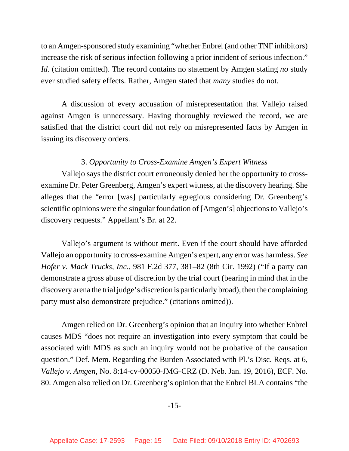to an Amgen-sponsored study examining "whether Enbrel (and other TNF inhibitors) increase the risk of serious infection following a prior incident of serious infection." *Id.* (citation omitted). The record contains no statement by Amgen stating *no* study ever studied safety effects. Rather, Amgen stated that *many* studies do not.

A discussion of every accusation of misrepresentation that Vallejo raised against Amgen is unnecessary. Having thoroughly reviewed the record, we are satisfied that the district court did not rely on misrepresented facts by Amgen in issuing its discovery orders.

# 3. *Opportunity to Cross-Examine Amgen's Expert Witness*

Vallejo says the district court erroneously denied her the opportunity to crossexamine Dr. Peter Greenberg, Amgen's expert witness, at the discovery hearing. She alleges that the "error [was] particularly egregious considering Dr. Greenberg's scientific opinions were the singular foundation of [Amgen's] objections to Vallejo's discovery requests." Appellant's Br. at 22.

Vallejo's argument is without merit. Even if the court should have afforded Vallejo an opportunity to cross-examine Amgen's expert, any error was harmless. *See Hofer v. Mack Trucks, Inc.*, 981 F.2d 377, 381–82 (8th Cir. 1992) ("If a party can demonstrate a gross abuse of discretion by the trial court (bearing in mind that in the discovery arena the trial judge's discretion is particularly broad), then the complaining party must also demonstrate prejudice." (citations omitted)).

Amgen relied on Dr. Greenberg's opinion that an inquiry into whether Enbrel causes MDS "does not require an investigation into every symptom that could be associated with MDS as such an inquiry would not be probative of the causation question." Def. Mem. Regarding the Burden Associated with Pl.'s Disc. Reqs. at 6, *Vallejo v. Amgen*, No. 8:14-cv-00050-JMG-CRZ (D. Neb. Jan. 19, 2016), ECF. No. 80. Amgen also relied on Dr. Greenberg's opinion that the Enbrel BLA contains "the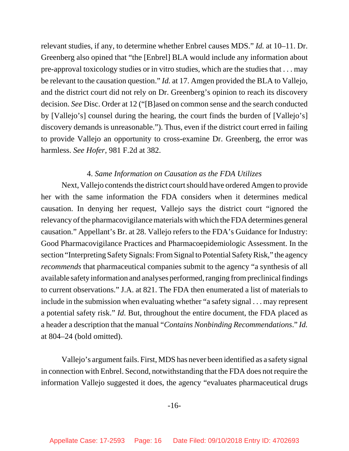relevant studies, if any, to determine whether Enbrel causes MDS." *Id.* at 10–11. Dr. Greenberg also opined that "the [Enbrel] BLA would include any information about pre-approval toxicology studies or in vitro studies, which are the studies that . . . may be relevant to the causation question." *Id.* at 17. Amgen provided the BLA to Vallejo, and the district court did not rely on Dr. Greenberg's opinion to reach its discovery decision. *See* Disc. Order at 12 ("[B]ased on common sense and the search conducted by [Vallejo's] counsel during the hearing, the court finds the burden of [Vallejo's] discovery demands is unreasonable."). Thus, even if the district court erred in failing to provide Vallejo an opportunity to cross-examine Dr. Greenberg, the error was harmless. *See Hofer*, 981 F.2d at 382.

# 4. *Same Information on Causation as the FDA Utilizes*

Next, Vallejo contends the district court should have ordered Amgen to provide her with the same information the FDA considers when it determines medical causation. In denying her request, Vallejo says the district court "ignored the relevancy of the pharmacovigilance materials with which the FDA determines general causation." Appellant's Br. at 28. Vallejo refers to the FDA's Guidance for Industry: Good Pharmacovigilance Practices and Pharmacoepidemiologic Assessment. In the section "Interpreting Safety Signals: From Signal to Potential Safety Risk," the agency *recommends* that pharmaceutical companies submit to the agency "a synthesis of all available safety information and analyses performed, ranging from preclinical findings to current observations." J.A. at 821. The FDA then enumerated a list of materials to include in the submission when evaluating whether "a safety signal . . . may represent a potential safety risk." *Id.* But, throughout the entire document, the FDA placed as a header a description that the manual "*Contains Nonbinding Recommendations*." *Id.* at 804–24 (bold omitted).

Vallejo's argument fails. First, MDS has never been identified as a safety signal in connection with Enbrel. Second, notwithstanding that the FDA does not require the information Vallejo suggested it does, the agency "evaluates pharmaceutical drugs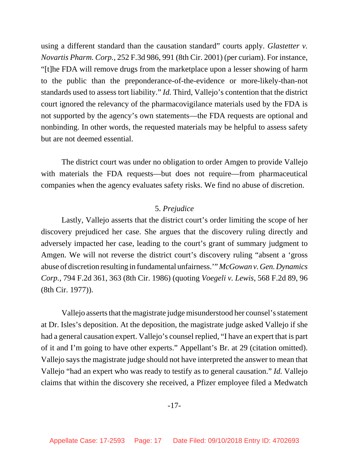using a different standard than the causation standard" courts apply. *Glastetter v. Novartis Pharm. Corp.*, 252 F.3d 986, 991 (8th Cir. 2001) (per curiam). For instance, "[t]he FDA will remove drugs from the marketplace upon a lesser showing of harm to the public than the preponderance-of-the-evidence or more-likely-than-not standards used to assess tort liability." *Id.* Third, Vallejo's contention that the district court ignored the relevancy of the pharmacovigilance materials used by the FDA is not supported by the agency's own statements—the FDA requests are optional and nonbinding. In other words, the requested materials may be helpful to assess safety but are not deemed essential.

The district court was under no obligation to order Amgen to provide Vallejo with materials the FDA requests—but does not require—from pharmaceutical companies when the agency evaluates safety risks. We find no abuse of discretion.

### 5. *Prejudice*

Lastly, Vallejo asserts that the district court's order limiting the scope of her discovery prejudiced her case. She argues that the discovery ruling directly and adversely impacted her case, leading to the court's grant of summary judgment to Amgen. We will not reverse the district court's discovery ruling "absent a 'gross abuse of discretion resulting in fundamental unfairness.'" *McGowan v. Gen. Dynamics Corp.*, 794 F.2d 361, 363 (8th Cir. 1986) (quoting *Voegeli v. Lewis*, 568 F.2d 89, 96 (8th Cir. 1977)).

Vallejo asserts that the magistrate judge misunderstood her counsel's statement at Dr. Isles's deposition. At the deposition, the magistrate judge asked Vallejo if she had a general causation expert. Vallejo's counsel replied, "I have an expert that is part of it and I'm going to have other experts." Appellant's Br. at 29 (citation omitted). Vallejo says the magistrate judge should not have interpreted the answer to mean that Vallejo "had an expert who was ready to testify as to general causation." *Id.* Vallejo claims that within the discovery she received, a Pfizer employee filed a Medwatch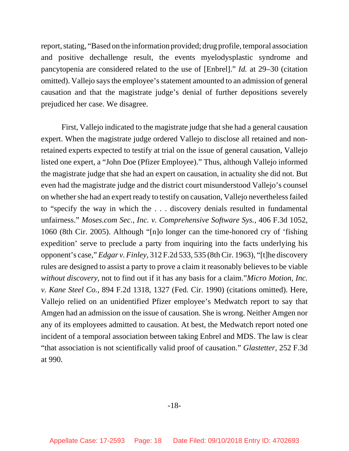report, stating, "Based on the information provided; drug profile, temporal association and positive dechallenge result, the events myelodysplastic syndrome and pancytopenia are considered related to the use of [Enbrel]." *Id.* at 29–30 (citation omitted). Vallejo says the employee's statement amounted to an admission of general causation and that the magistrate judge's denial of further depositions severely prejudiced her case. We disagree.

First, Vallejo indicated to the magistrate judge that she had a general causation expert. When the magistrate judge ordered Vallejo to disclose all retained and nonretained experts expected to testify at trial on the issue of general causation, Vallejo listed one expert, a "John Doe (Pfizer Employee)." Thus, although Vallejo informed the magistrate judge that she had an expert on causation, in actuality she did not. But even had the magistrate judge and the district court misunderstood Vallejo's counsel on whether she had an expert ready to testify on causation, Vallejo nevertheless failed to "specify the way in which the . . . discovery denials resulted in fundamental unfairness." *Moses.com Sec., Inc. v. Comprehensive Software Sys.*, 406 F.3d 1052, 1060 (8th Cir. 2005). Although "[n]o longer can the time-honored cry of 'fishing expedition' serve to preclude a party from inquiring into the facts underlying his opponent's case," *Edgar v. Finley*, 312 F.2d 533, 535 (8th Cir. 1963), "[t]he discovery rules are designed to assist a party to prove a claim it reasonably believes to be viable *without discovery*, not to find out if it has any basis for a claim."*Micro Motion, Inc. v. Kane Steel Co.*, 894 F.2d 1318, 1327 (Fed. Cir. 1990) (citations omitted). Here, Vallejo relied on an unidentified Pfizer employee's Medwatch report to say that Amgen had an admission on the issue of causation. She is wrong. Neither Amgen nor any of its employees admitted to causation. At best, the Medwatch report noted one incident of a temporal association between taking Enbrel and MDS. The law is clear "that association is not scientifically valid proof of causation." *Glastetter*, 252 F.3d at 990.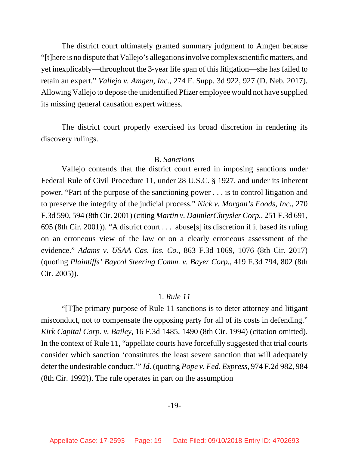The district court ultimately granted summary judgment to Amgen because "[t]here is no dispute that Vallejo's allegations involve complex scientific matters, and yet inexplicably—throughout the 3-year life span of this litigation—she has failed to retain an expert." *Vallejo v. Amgen, Inc.*, 274 F. Supp. 3d 922, 927 (D. Neb. 2017). Allowing Vallejo to depose the unidentified Pfizer employee would not have supplied its missing general causation expert witness.

The district court properly exercised its broad discretion in rendering its discovery rulings.

# B. *Sanctions*

Vallejo contends that the district court erred in imposing sanctions under Federal Rule of Civil Procedure 11, under 28 U.S.C. § 1927, and under its inherent power. "Part of the purpose of the sanctioning power . . . is to control litigation and to preserve the integrity of the judicial process." *Nick v. Morgan's Foods, Inc.*, 270 F.3d 590, 594 (8th Cir. 2001) (citing *Martin v. DaimlerChrysler Corp.*, 251 F.3d 691, 695 (8th Cir. 2001)). "A district court . . . abuse[s] its discretion if it based its ruling on an erroneous view of the law or on a clearly erroneous assessment of the evidence." *Adams v. USAA Cas. Ins. Co.*, 863 F.3d 1069, 1076 (8th Cir. 2017) (quoting *Plaintiffs' Baycol Steering Comm. v. Bayer Corp.*, 419 F.3d 794, 802 (8th Cir. 2005)).

#### 1. *Rule 11*

"[T]he primary purpose of Rule 11 sanctions is to deter attorney and litigant misconduct, not to compensate the opposing party for all of its costs in defending." *Kirk Capital Corp. v. Bailey*, 16 F.3d 1485, 1490 (8th Cir. 1994) (citation omitted). In the context of Rule 11, "appellate courts have forcefully suggested that trial courts consider which sanction 'constitutes the least severe sanction that will adequately deter the undesirable conduct.'" *Id.* (quoting *Pope v. Fed. Express*, 974 F.2d 982, 984 (8th Cir. 1992)). The rule operates in part on the assumption

### -19-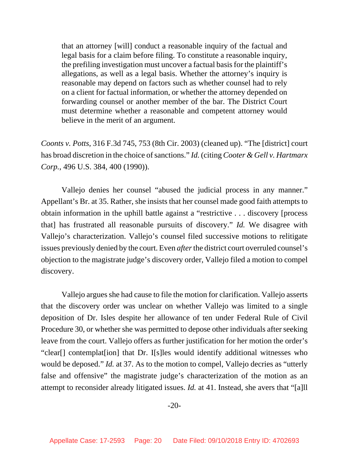that an attorney [will] conduct a reasonable inquiry of the factual and legal basis for a claim before filing. To constitute a reasonable inquiry, the prefiling investigation must uncover a factual basis for the plaintiff's allegations, as well as a legal basis. Whether the attorney's inquiry is reasonable may depend on factors such as whether counsel had to rely on a client for factual information, or whether the attorney depended on forwarding counsel or another member of the bar. The District Court must determine whether a reasonable and competent attorney would believe in the merit of an argument.

*Coonts v. Potts*, 316 F.3d 745, 753 (8th Cir. 2003) (cleaned up). "The [district] court has broad discretion in the choice of sanctions." *Id.* (citing *Cooter & Gell v. Hartmarx Corp.*, 496 U.S. 384, 400 (1990)).

Vallejo denies her counsel "abused the judicial process in any manner." Appellant's Br. at 35. Rather, she insists that her counsel made good faith attempts to obtain information in the uphill battle against a "restrictive . . . discovery [process that] has frustrated all reasonable pursuits of discovery." *Id.* We disagree with Vallejo's characterization. Vallejo's counsel filed successive motions to relitigate issues previously denied by the court. Even *after* the district court overruled counsel's objection to the magistrate judge's discovery order, Vallejo filed a motion to compel discovery.

Vallejo argues she had cause to file the motion for clarification. Vallejo asserts that the discovery order was unclear on whether Vallejo was limited to a single deposition of Dr. Isles despite her allowance of ten under Federal Rule of Civil Procedure 30, or whether she was permitted to depose other individuals after seeking leave from the court. Vallejo offers as further justification for her motion the order's "clear[] contemplat[ion] that Dr. I[s]les would identify additional witnesses who would be deposed." *Id.* at 37. As to the motion to compel, Vallejo decries as "utterly false and offensive" the magistrate judge's characterization of the motion as an attempt to reconsider already litigated issues. *Id.* at 41. Instead, she avers that "[a]ll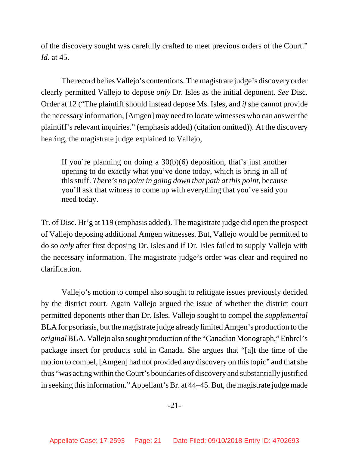of the discovery sought was carefully crafted to meet previous orders of the Court." *Id.* at 45.

The record belies Vallejo's contentions. The magistrate judge's discovery order clearly permitted Vallejo to depose *only* Dr. Isles as the initial deponent. *See* Disc. Order at 12 ("The plaintiff should instead depose Ms. Isles, and *if* she cannot provide the necessary information, [Amgen] may need to locate witnesses who can answer the plaintiff's relevant inquiries." (emphasis added) (citation omitted)). At the discovery hearing, the magistrate judge explained to Vallejo,

If you're planning on doing a 30(b)(6) deposition, that's just another opening to do exactly what you've done today, which is bring in all of this stuff. *There's no point in going down that path at this point*, because you'll ask that witness to come up with everything that you've said you need today.

Tr. of Disc. Hr'g at 119 (emphasis added). The magistrate judge did open the prospect of Vallejo deposing additional Amgen witnesses. But, Vallejo would be permitted to do so *only* after first deposing Dr. Isles and if Dr. Isles failed to supply Vallejo with the necessary information. The magistrate judge's order was clear and required no clarification.

Vallejo's motion to compel also sought to relitigate issues previously decided by the district court. Again Vallejo argued the issue of whether the district court permitted deponents other than Dr. Isles. Vallejo sought to compel the *supplemental* BLA for psoriasis, but the magistrate judge already limited Amgen's production to the *original* BLA. Vallejo also sought production of the "Canadian Monograph," Enbrel's package insert for products sold in Canada. She argues that "[a]t the time of the motion to compel, [Amgen] had not provided any discovery on this topic" and that she thus "was acting within the Court's boundaries of discovery and substantially justified in seeking this information." Appellant's Br. at 44–45. But, the magistrate judge made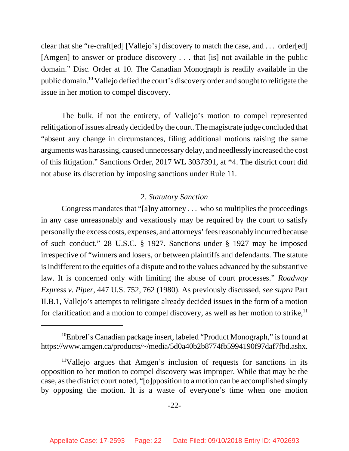clear that she "re-craft[ed] [Vallejo's] discovery to match the case, and . . . order[ed] [Amgen] to answer or produce discovery . . . that [is] not available in the public domain." Disc. Order at 10. The Canadian Monograph is readily available in the public domain.10 Vallejo defied the court's discovery order and sought to relitigate the issue in her motion to compel discovery.

The bulk, if not the entirety, of Vallejo's motion to compel represented relitigation of issues already decided by the court. The magistrate judge concluded that "absent any change in circumstances, filing additional motions raising the same arguments was harassing, caused unnecessary delay, and needlessly increased the cost of this litigation." Sanctions Order, 2017 WL 3037391, at \*4. The district court did not abuse its discretion by imposing sanctions under Rule 11.

# 2. *Statutory Sanction*

Congress mandates that "[a]ny attorney . . . who so multiplies the proceedings in any case unreasonably and vexatiously may be required by the court to satisfy personally the excess costs, expenses, and attorneys' fees reasonably incurred because of such conduct." 28 U.S.C. § 1927. Sanctions under § 1927 may be imposed irrespective of "winners and losers, or between plaintiffs and defendants. The statute is indifferent to the equities of a dispute and to the values advanced by the substantive law. It is concerned only with limiting the abuse of court processes." *Roadway Express v. Piper*, 447 U.S. 752, 762 (1980). As previously discussed, *see supra* Part II.B.1, Vallejo's attempts to relitigate already decided issues in the form of a motion for clarification and a motion to compel discovery, as well as her motion to strike,  $\mathbf{I}^{\text{I}}$ 

 $10$ Enbrel's Canadian package insert, labeled "Product Monograph," is found at https://www.amgen.ca/products/~/media/5d0a40b2b8774fb5994190f97daf7fbd.ashx.

<sup>11</sup>Vallejo argues that Amgen's inclusion of requests for sanctions in its opposition to her motion to compel discovery was improper. While that may be the case, as the district court noted, "[o]pposition to a motion can be accomplished simply by opposing the motion. It is a waste of everyone's time when one motion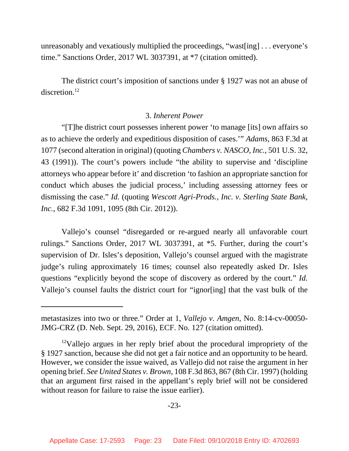unreasonably and vexatiously multiplied the proceedings, "wast[ing] . . . everyone's time." Sanctions Order, 2017 WL 3037391, at \*7 (citation omitted).

The district court's imposition of sanctions under § 1927 was not an abuse of discretion.<sup>12</sup>

# 3. *Inherent Power*

"[T]he district court possesses inherent power 'to manage [its] own affairs so as to achieve the orderly and expeditious disposition of cases.'" *Adams*, 863 F.3d at 1077 (second alteration in original) (quoting *Chambers v. NASCO, Inc.*, 501 U.S. 32, 43 (1991)). The court's powers include "the ability to supervise and 'discipline attorneys who appear before it' and discretion 'to fashion an appropriate sanction for conduct which abuses the judicial process,' including assessing attorney fees or dismissing the case." *Id.* (quoting *Wescott Agri-Prods., Inc. v. Sterling State Bank, Inc.*, 682 F.3d 1091, 1095 (8th Cir. 2012)).

Vallejo's counsel "disregarded or re-argued nearly all unfavorable court rulings." Sanctions Order, 2017 WL 3037391, at \*5. Further, during the court's supervision of Dr. Isles's deposition, Vallejo's counsel argued with the magistrate judge's ruling approximately 16 times; counsel also repeatedly asked Dr. Isles questions "explicitly beyond the scope of discovery as ordered by the court." *Id.* Vallejo's counsel faults the district court for "ignor[ing] that the vast bulk of the

metastasizes into two or three." Order at 1, *Vallejo v. Amgen*, No. 8:14-cv-00050- JMG-CRZ (D. Neb. Sept. 29, 2016), ECF. No. 127 (citation omitted).

 $12$ Vallejo argues in her reply brief about the procedural impropriety of the § 1927 sanction, because she did not get a fair notice and an opportunity to be heard. However, we consider the issue waived, as Vallejo did not raise the argument in her opening brief. *See United States v. Brown*, 108 F.3d 863, 867 (8th Cir. 1997) (holding that an argument first raised in the appellant's reply brief will not be considered without reason for failure to raise the issue earlier).